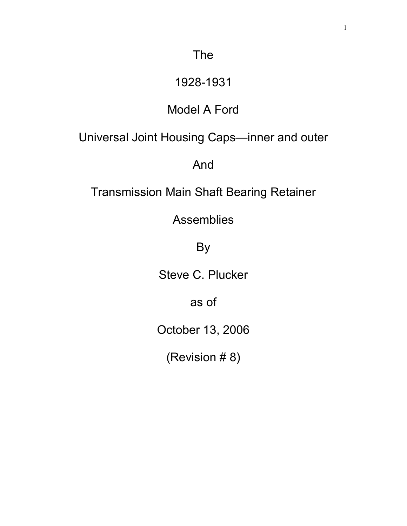## 1928-1931

## Model A Ford

Universal Joint Housing Caps—inner and outer

And

Transmission Main Shaft Bearing Retainer

Assemblies

By

Steve C. Plucker

as of

October 13, 2006

(Revision # 8)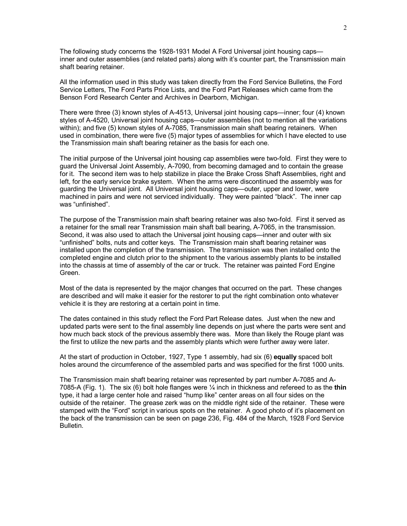The following study concerns the 1928-1931 Model A Ford Universal joint housing caps inner and outer assemblies (and related parts) along with it's counter part, the Transmission main shaft bearing retainer.

All the information used in this study was taken directly from the Ford Service Bulletins, the Ford Service Letters, The Ford Parts Price Lists, and the Ford Part Releases which came from the Benson Ford Research Center and Archives in Dearborn, Michigan.

There were three (3) known styles of A-4513, Universal joint housing caps—inner; four (4) known styles of A-4520, Universal joint housing caps—outer assemblies (not to mention all the variations within); and five (5) known styles of A-7085, Transmission main shaft bearing retainers. When used in combination, there were five (5) major types of assemblies for which I have elected to use the Transmission main shaft bearing retainer as the basis for each one.

The initial purpose of the Universal joint housing cap assemblies were two-fold. First they were to guard the Universal Joint Assembly, A-7090, from becoming damaged and to contain the grease for it. The second item was to help stabilize in place the Brake Cross Shaft Assemblies, right and left, for the early service brake system. When the arms were discontinued the assembly was for guarding the Universal joint. All Universal joint housing caps—outer, upper and lower, were machined in pairs and were not serviced individually. They were painted "black". The inner cap was "unfinished".

The purpose of the Transmission main shaft bearing retainer was also two-fold. First it served as a retainer for the small rear Transmission main shaft ball bearing, A-7065, in the transmission. Second, it was also used to attach the Universal joint housing caps—inner and outer with six "unfinished" bolts, nuts and cotter keys. The Transmission main shaft bearing retainer was installed upon the completion of the transmission. The transmission was then installed onto the completed engine and clutch prior to the shipment to the various assembly plants to be installed into the chassis at time of assembly of the car or truck. The retainer was painted Ford Engine Green.

Most of the data is represented by the major changes that occurred on the part. These changes are described and will make it easier for the restorer to put the right combination onto whatever vehicle it is they are restoring at a certain point in time.

The dates contained in this study reflect the Ford Part Release dates. Just when the new and updated parts were sent to the final assembly line depends on just where the parts were sent and how much back stock of the previous assembly there was. More than likely the Rouge plant was the first to utilize the new parts and the assembly plants which were further away were later.

At the start of production in October, 1927, Type 1 assembly, had six (6) **equally** spaced bolt holes around the circumference of the assembled parts and was specified for the first 1000 units.

The Transmission main shaft bearing retainer was represented by part number A-7085 and A-7085-A (Fig. 1). The six (6) bolt hole flanges were ¼ inch in thickness and refereed to as the **thin** type, it had a large center hole and raised "hump like" center areas on all four sides on the outside of the retainer. The grease zerk was on the middle right side of the retainer. These were stamped with the "Ford" script in various spots on the retainer. A good photo of it's placement on the back of the transmission can be seen on page 236, Fig. 484 of the March, 1928 Ford Service Bulletin.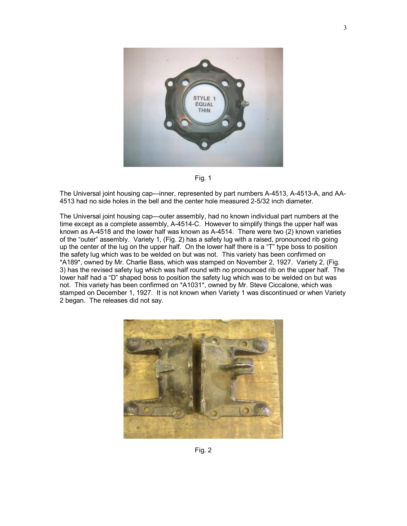

Fig. 1

The Universal joint housing cap—inner, represented by part numbers A-4513, A-4513-A, and AA-4513 had no side holes in the bell and the center hole measured 2-5/32 inch diameter.

The Universal joint housing cap—outer assembly, had no known individual part numbers at the time except as a complete assembly, A-4514-C. However to simplify things the upper half was known as A-4518 and the lower half was known as A-4514. There were two (2) known varieties of the "outer" assembly. Variety 1, (Fig. 2) has a safety lug with a raised, pronounced rib going up the center of the lug on the upper half. On the lower half there is a "T" type boss to position the safety lug which was to be welded on but was not. This variety has been confirmed on \*A189\*, owned by Mr. Charlie Bass, which was stamped on November 2, 1927. Variety 2, (Fig. 3) has the revised safety lug which was half round with no pronounced rib on the upper half. The lower half had a "D" shaped boss to position the safety lug which was to be welded on but was not. This variety has been confirmed on \*A1031\*, owned by Mr. Steve Ciccalone, which was stamped on December 1, 1927. It is not known when Variety 1 was discontinued or when Variety 2 began. The releases did not say.



Fig. 2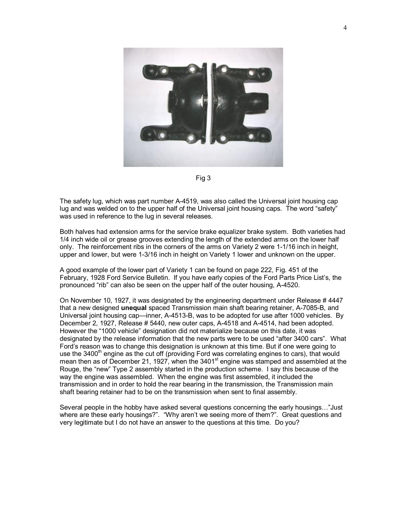

Fig 3

The safety lug, which was part number A-4519, was also called the Universal joint housing cap lug and was welded on to the upper half of the Universal joint housing caps. The word "safety" was used in reference to the lug in several releases.

Both halves had extension arms for the service brake equalizer brake system. Both varieties had 1/4 inch wide oil or grease grooves extending the length of the extended arms on the lower half only. The reinforcement ribs in the corners of the arms on Variety 2 were 1-1/16 inch in height, upper and lower, but were 1-3/16 inch in height on Variety 1 lower and unknown on the upper.

A good example of the lower part of Variety 1 can be found on page 222, Fig. 451 of the February, 1928 Ford Service Bulletin. If you have early copies of the Ford Parts Price List's, the pronounced "rib" can also be seen on the upper half of the outer housing, A-4520.

On November 10, 1927, it was designated by the engineering department under Release # 4447 that a new designed **unequal** spaced Transmission main shaft bearing retainer, A-7085-B, and Universal joint housing cap—inner, A-4513-B, was to be adopted for use after 1000 vehicles. By December 2, 1927, Release # 5440, new outer caps, A-4518 and A-4514, had been adopted. However the "1000 vehicle" designation did not materialize because on this date, it was designated by the release information that the new parts were to be used "after 3400 cars". What Ford's reason was to change this designation is unknown at this time. But if one were going to use the  $3400<sup>th</sup>$  engine as the cut off (providing Ford was correlating engines to cars), that would mean then as of December 21, 1927, when the 3401<sup>st</sup> engine was stamped and assembled at the Rouge, the "new" Type 2 assembly started in the production scheme. I say this because of the way the engine was assembled. When the engine was first assembled, it included the transmission and in order to hold the rear bearing in the transmission, the Transmission main shaft bearing retainer had to be on the transmission when sent to final assembly.

Several people in the hobby have asked several questions concerning the early housings…"Just where are these early housings?". "Why aren't we seeing more of them?". Great questions and very legitimate but I do not have an answer to the questions at this time. Do you?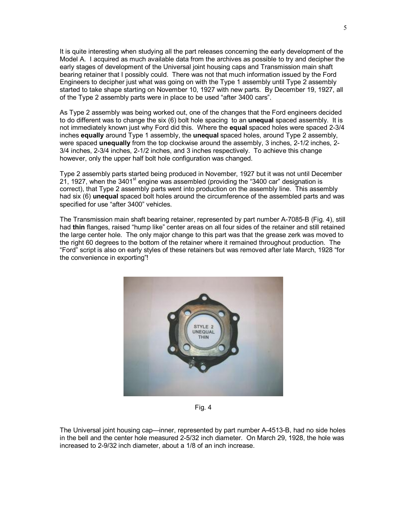It is quite interesting when studying all the part releases concerning the early development of the Model A. I acquired as much available data from the archives as possible to try and decipher the early stages of development of the Universal joint housing caps and Transmission main shaft bearing retainer that I possibly could. There was not that much information issued by the Ford Engineers to decipher just what was going on with the Type 1 assembly until Type 2 assembly started to take shape starting on November 10, 1927 with new parts. By December 19, 1927, all of the Type 2 assembly parts were in place to be used "after 3400 cars".

As Type 2 assembly was being worked out, one of the changes that the Ford engineers decided to do different was to change the six (6) bolt hole spacing to an **unequal** spaced assembly. It is not immediately known just why Ford did this. Where the **equal** spaced holes were spaced 2-3/4 inches **equally** around Type 1 assembly, the **unequal** spaced holes, around Type 2 assembly, were spaced **unequally** from the top clockwise around the assembly, 3 inches, 2-1/2 inches, 2-3/4 inches, 2-3/4 inches, 2-1/2 inches, and 3 inches respectively. To achieve this change however, only the upper half bolt hole configuration was changed.

Type 2 assembly parts started being produced in November, 1927 but it was not until December 21, 1927, when the 3401<sup>st</sup> engine was assembled (providing the "3400 car" designation is correct), that Type 2 assembly parts went into production on the assembly line. This assembly had six (6) **unequal** spaced bolt holes around the circumference of the assembled parts and was specified for use "after 3400" vehicles.

The Transmission main shaft bearing retainer, represented by part number A-7085-B (Fig. 4), still had **thin** flanges, raised "hump like" center areas on all four sides of the retainer and still retained the large center hole. The only major change to this part was that the grease zerk was moved to the right 60 degrees to the bottom of the retainer where it remained throughout production. The "Ford" script is also on early styles of these retainers but was removed after late March, 1928 "for the convenience in exporting"!



Fig. 4

The Universal joint housing cap—inner, represented by part number A-4513-B, had no side holes in the bell and the center hole measured 2-5/32 inch diameter. On March 29, 1928, the hole was increased to 2-9/32 inch diameter, about a 1/8 of an inch increase.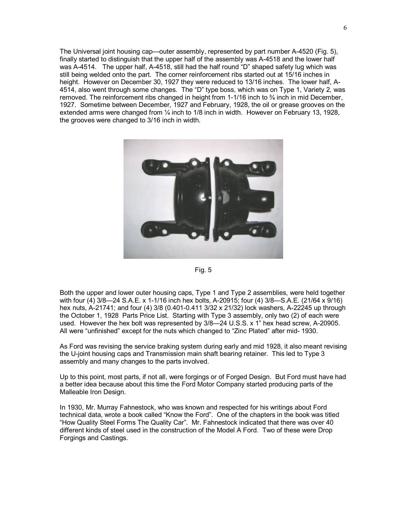The Universal joint housing cap—outer assembly, represented by part number A-4520 (Fig. 5), finally started to distinguish that the upper half of the assembly was A-4518 and the lower half was A-4514. The upper half, A-4518, still had the half round "D" shaped safety lug which was still being welded onto the part. The corner reinforcement ribs started out at 15/16 inches in height. However on December 30, 1927 they were reduced to 13/16 inches. The lower half, A-4514, also went through some changes. The "D" type boss, which was on Type 1, Variety 2, was removed. The reinforcement ribs changed in height from 1-1/16 inch to ¾ inch in mid December, 1927. Sometime between December, 1927 and February, 1928, the oil or grease grooves on the extended arms were changed from  $\frac{1}{4}$  inch to 1/8 inch in width. However on February 13, 1928, the grooves were changed to 3/16 inch in width.



Fig. 5

Both the upper and lower outer housing caps, Type 1 and Type 2 assemblies, were held together with four (4) 3/8—24 S.A.E. x 1-1/16 inch hex bolts, A-20915; four (4) 3/8—S.A.E. (21/64 x 9/16) hex nuts, A-21741; and four (4) 3/8 (0.401-0.411 3/32 x 21/32) lock washers, A-22245 up through the October 1, 1928 Parts Price List. Starting with Type 3 assembly, only two (2) of each were used. However the hex bolt was represented by 3/8—24 U.S.S. x 1" hex head screw, A-20905. All were "unfinished" except for the nuts which changed to "Zinc Plated" after mid- 1930.

As Ford was revising the service braking system during early and mid 1928, it also meant revising the U-joint housing caps and Transmission main shaft bearing retainer. This led to Type 3 assembly and many changes to the parts involved.

Up to this point, most parts, if not all, were forgings or of Forged Design. But Ford must have had a better idea because about this time the Ford Motor Company started producing parts of the Malleable Iron Design.

In 1930, Mr. Murray Fahnestock, who was known and respected for his writings about Ford technical data, wrote a book called "Know the Ford". One of the chapters in the book was titled "How Quality Steel Forms The Quality Car". Mr. Fahnestock indicated that there was over 40 different kinds of steel used in the construction of the Model A Ford. Two of these were Drop Forgings and Castings.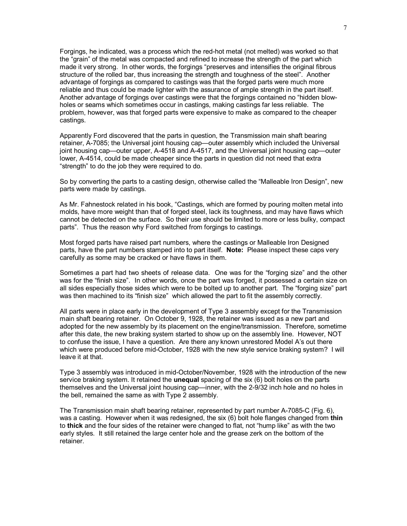Forgings, he indicated, was a process which the red-hot metal (not melted) was worked so that the "grain" of the metal was compacted and refined to increase the strength of the part which made it very strong. In other words, the forgings "preserves and intensifies the original fibrous structure of the rolled bar, thus increasing the strength and toughness of the steel". Another advantage of forgings as compared to castings was that the forged parts were much more reliable and thus could be made lighter with the assurance of ample strength in the part itself. Another advantage of forgings over castings were that the forgings contained no "hidden blowholes or seams which sometimes occur in castings, making castings far less reliable. The problem, however, was that forged parts were expensive to make as compared to the cheaper castings.

Apparently Ford discovered that the parts in question, the Transmission main shaft bearing retainer, A-7085; the Universal joint housing cap—outer assembly which included the Universal joint housing cap—outer upper, A-4518 and A-4517, and the Universal joint housing cap—outer lower, A-4514, could be made cheaper since the parts in question did not need that extra "strength" to do the job they were required to do.

So by converting the parts to a casting design, otherwise called the "Malleable Iron Design", new parts were made by castings.

As Mr. Fahnestock related in his book, "Castings, which are formed by pouring molten metal into molds, have more weight than that of forged steel, lack its toughness, and may have flaws which cannot be detected on the surface. So their use should be limited to more or less bulky, compact parts". Thus the reason why Ford switched from forgings to castings.

Most forged parts have raised part numbers, where the castings or Malleable Iron Designed parts, have the part numbers stamped into to part itself. **Note:** Please inspect these caps very carefully as some may be cracked or have flaws in them.

Sometimes a part had two sheets of release data. One was for the "forging size" and the other was for the "finish size". In other words, once the part was forged, it possessed a certain size on all sides especially those sides which were to be bolted up to another part. The "forging size" part was then machined to its "finish size" which allowed the part to fit the assembly correctly.

All parts were in place early in the development of Type 3 assembly except for the Transmission main shaft bearing retainer. On October 9, 1928, the retainer was issued as a new part and adopted for the new assembly by its placement on the engine/transmission. Therefore, sometime after this date, the new braking system started to show up on the assembly line. However, NOT to confuse the issue, I have a question. Are there any known unrestored Model A's out there which were produced before mid-October, 1928 with the new style service braking system? I will leave it at that.

Type 3 assembly was introduced in mid-October/November, 1928 with the introduction of the new service braking system. It retained the **unequal** spacing of the six (6) bolt holes on the parts themselves and the Universal joint housing cap—inner, with the 2-9/32 inch hole and no holes in the bell, remained the same as with Type 2 assembly.

The Transmission main shaft bearing retainer, represented by part number A-7085-C (Fig. 6), was a casting. However when it was redesigned, the six (6) bolt hole flanges changed from **thin** to **thick** and the four sides of the retainer were changed to flat, not "hump like" as with the two early styles. It still retained the large center hole and the grease zerk on the bottom of the retainer.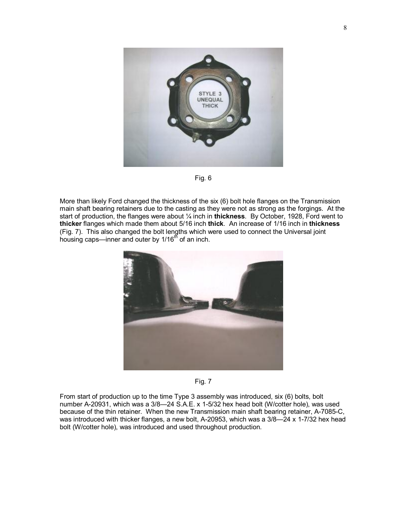

Fig. 6

More than likely Ford changed the thickness of the six (6) bolt hole flanges on the Transmission main shaft bearing retainers due to the casting as they were not as strong as the forgings. At the start of production, the flanges were about ¼ inch in **thickness**. By October, 1928, Ford went to **thicker** flanges which made them about 5/16 inch **thick**. An increase of 1/16 inch in **thickness** (Fig. 7). This also changed the bolt lengths which were used to connect the Universal joint housing caps—inner and outer by 1/16<sup>th</sup> of an inch.





From start of production up to the time Type 3 assembly was introduced, six (6) bolts, bolt number A-20931, which was a 3/8—24 S.A.E. x 1-5/32 hex head bolt (W/cotter hole), was used because of the thin retainer. When the new Transmission main shaft bearing retainer, A-7085-C, was introduced with thicker flanges, a new bolt, A-20953, which was a 3/8—24 x 1-7/32 hex head bolt (W/cotter hole), was introduced and used throughout production.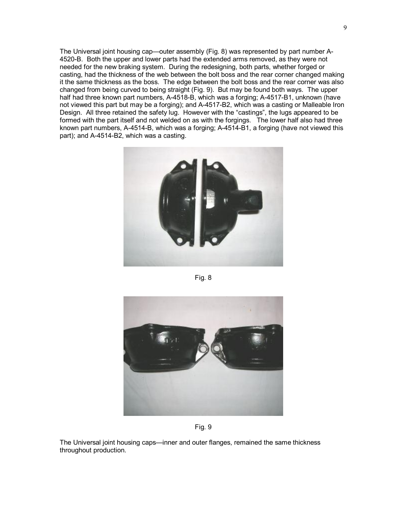The Universal joint housing cap—outer assembly (Fig. 8) was represented by part number A-4520-B. Both the upper and lower parts had the extended arms removed, as they were not needed for the new braking system. During the redesigning, both parts, whether forged or casting, had the thickness of the web between the bolt boss and the rear corner changed making it the same thickness as the boss. The edge between the bolt boss and the rear corner was also changed from being curved to being straight (Fig. 9). But may be found both ways. The upper half had three known part numbers, A-4518-B, which was a forging; A-4517-B1, unknown (have not viewed this part but may be a forging); and A-4517-B2, which was a casting or Malleable Iron Design. All three retained the safety lug. However with the "castings", the lugs appeared to be formed with the part itself and not welded on as with the forgings. The lower half also had three known part numbers, A-4514-B, which was a forging; A-4514-B1, a forging (have not viewed this part); and A-4514-B2, which was a casting.



Fig. 8



Fig. 9

The Universal joint housing caps—inner and outer flanges, remained the same thickness throughout production.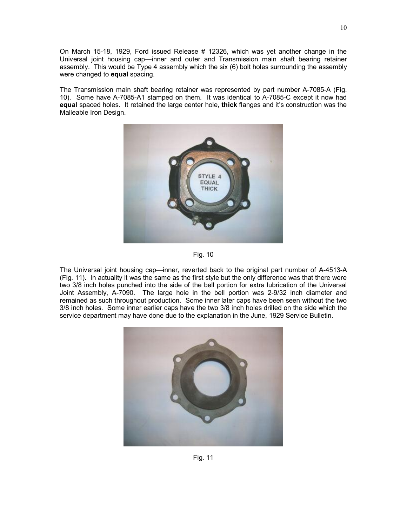On March 15-18, 1929, Ford issued Release # 12326, which was yet another change in the Universal joint housing cap—inner and outer and Transmission main shaft bearing retainer assembly. This would be Type 4 assembly which the six (6) bolt holes surrounding the assembly were changed to **equal** spacing.

The Transmission main shaft bearing retainer was represented by part number A-7085-A (Fig. 10). Some have A-7085-A1 stamped on them. It was identical to A-7085-C except it now had **equal** spaced holes. It retained the large center hole, **thick** flanges and it's construction was the Malleable Iron Design.



Fig. 10

The Universal joint housing cap—inner, reverted back to the original part number of A-4513-A (Fig. 11). In actuality it was the same as the first style but the only difference was that there were two 3/8 inch holes punched into the side of the bell portion for extra lubrication of the Universal Joint Assembly, A-7090. The large hole in the bell portion was 2-9/32 inch diameter and remained as such throughout production. Some inner later caps have been seen without the two 3/8 inch holes. Some inner earlier caps have the two 3/8 inch holes drilled on the side which the service department may have done due to the explanation in the June, 1929 Service Bulletin.

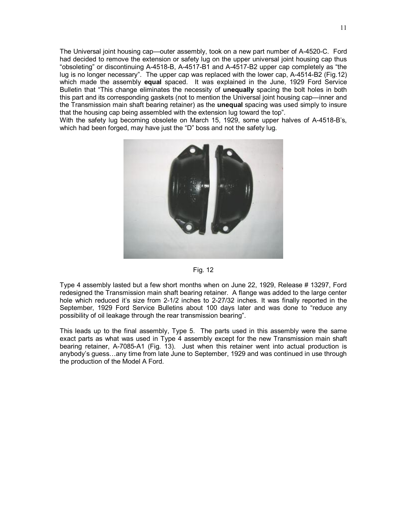The Universal joint housing cap—outer assembly, took on a new part number of A-4520-C. Ford had decided to remove the extension or safety lug on the upper universal joint housing cap thus "obsoleting" or discontinuing A-4518-B, A-4517-B1 and A-4517-B2 upper cap completely as "the lug is no longer necessary". The upper cap was replaced with the lower cap, A-4514-B2 (Fig.12) which made the assembly **equal** spaced. It was explained in the June, 1929 Ford Service Bulletin that "This change eliminates the necessity of **unequally** spacing the bolt holes in both this part and its corresponding gaskets (not to mention the Universal joint housing cap—inner and the Transmission main shaft bearing retainer) as the **unequal** spacing was used simply to insure that the housing cap being assembled with the extension lug toward the top".

With the safety lug becoming obsolete on March 15, 1929, some upper halves of A-4518-B's, which had been forged, may have just the "D" boss and not the safety lug.



## Fig. 12

Type 4 assembly lasted but a few short months when on June 22, 1929, Release # 13297, Ford redesigned the Transmission main shaft bearing retainer. A flange was added to the large center hole which reduced it's size from 2-1/2 inches to 2-27/32 inches. It was finally reported in the September, 1929 Ford Service Bulletins about 100 days later and was done to "reduce any possibility of oil leakage through the rear transmission bearing".

This leads up to the final assembly, Type 5. The parts used in this assembly were the same exact parts as what was used in Type 4 assembly except for the new Transmission main shaft bearing retainer, A-7085-A1 (Fig. 13). Just when this retainer went into actual production is anybody's guess…any time from late June to September, 1929 and was continued in use through the production of the Model A Ford.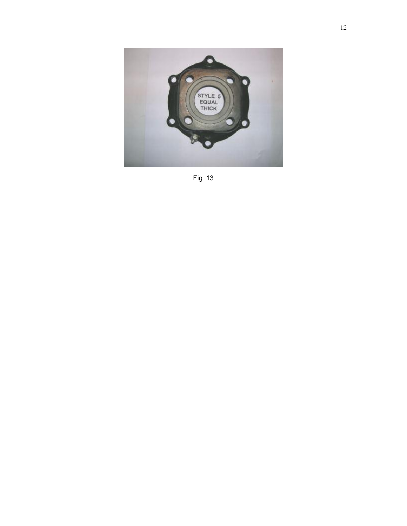

Fig. 13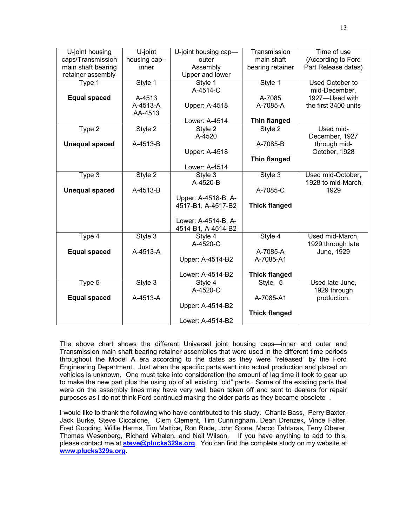|                       |               |                      | Transmission         | Time of use          |
|-----------------------|---------------|----------------------|----------------------|----------------------|
| U-joint housing       | U-joint       | U-joint housing cap- |                      |                      |
| caps/Transmission     | housing cap-- | outer                | main shaft           | (According to Ford   |
| main shaft bearing    | inner         | Assembly             | bearing retainer     | Part Release dates)  |
| retainer assembly     |               | Upper and lower      |                      |                      |
| Type 1                | Style 1       | Style 1              | Style 1              | Used October to      |
|                       |               | A-4514-C             |                      | mid-December,        |
| <b>Equal spaced</b>   | A-4513        |                      | A-7085               | 1927-Used with       |
|                       | A-4513-A      | Upper: A-4518        | A-7085-A             | the first 3400 units |
|                       | AA-4513       |                      |                      |                      |
|                       |               | Lower: A-4514        | <b>Thin flanged</b>  |                      |
| Type 2                | Style 2       | Style 2              | Style 2              | Used mid-            |
|                       |               | A-4520               |                      | December, 1927       |
| <b>Unequal spaced</b> | A-4513-B      |                      | A-7085-B             | through mid-         |
|                       |               | Upper: A-4518        |                      | October, 1928        |
|                       |               |                      | <b>Thin flanged</b>  |                      |
|                       |               | Lower: A-4514        |                      |                      |
| Type 3                | Style 2       | Style 3              | Style 3              | Used mid-October,    |
|                       |               | A-4520-B             |                      | 1928 to mid-March,   |
| <b>Unequal spaced</b> | A-4513-B      |                      | A-7085-C             | 1929                 |
|                       |               | Upper: A-4518-B, A-  |                      |                      |
|                       |               | 4517-B1, A-4517-B2   | <b>Thick flanged</b> |                      |
|                       |               |                      |                      |                      |
|                       |               | Lower: A-4514-B, A-  |                      |                      |
|                       |               | 4514-B1, A-4514-B2   |                      |                      |
|                       | Style 3       |                      |                      |                      |
| Type 4                |               | Style 4<br>A-4520-C  | Style 4              | Used mid-March,      |
|                       |               |                      |                      | 1929 through late    |
| <b>Equal spaced</b>   | A-4513-A      |                      | A-7085-A             | June, 1929           |
|                       |               | Upper: A-4514-B2     | A-7085-A1            |                      |
|                       |               |                      |                      |                      |
|                       |               | Lower: A-4514-B2     | <b>Thick flanged</b> |                      |
| Type 5                | Style 3       | Style 4              | Style 5              | Used late June,      |
|                       |               | A-4520-C             |                      | 1929 through         |
| <b>Equal spaced</b>   | A-4513-A      |                      | A-7085-A1            | production.          |
|                       |               | Upper: A-4514-B2     |                      |                      |
|                       |               |                      | <b>Thick flanged</b> |                      |
|                       |               | Lower: A-4514-B2     |                      |                      |

The above chart shows the different Universal joint housing caps—inner and outer and Transmission main shaft bearing retainer assemblies that were used in the different time periods throughout the Model A era according to the dates as they were "released" by the Ford Engineering Department. Just when the specific parts went into actual production and placed on vehicles is unknown. One must take into consideration the amount of lag time it took to gear up to make the new part plus the using up of all existing "old" parts. Some of the existing parts that were on the assembly lines may have very well been taken off and sent to dealers for repair purposes as I do not think Ford continued making the older parts as they became obsolete .

I would like to thank the following who have contributed to this study. Charlie Bass, Perry Baxter, Jack Burke, Steve Ciccalone, Clem Clement, Tim Cunningham, Dean Drenzek, Vince Falter, Fred Gooding, Willie Harms, Tim Mattice, Ron Rude, John Stone, Marco Tahtaras, Terry Oberer, Thomas Wesenberg, Richard Whalen, and Neil Wilson. If you have anything to add to this, please contact me at **[steve@plucks329s.org](mailto:steve@plucks329s.org)**. You can find the complete study on my website at **[www.plucks329s.org](http://www.plucks329s.org)**.